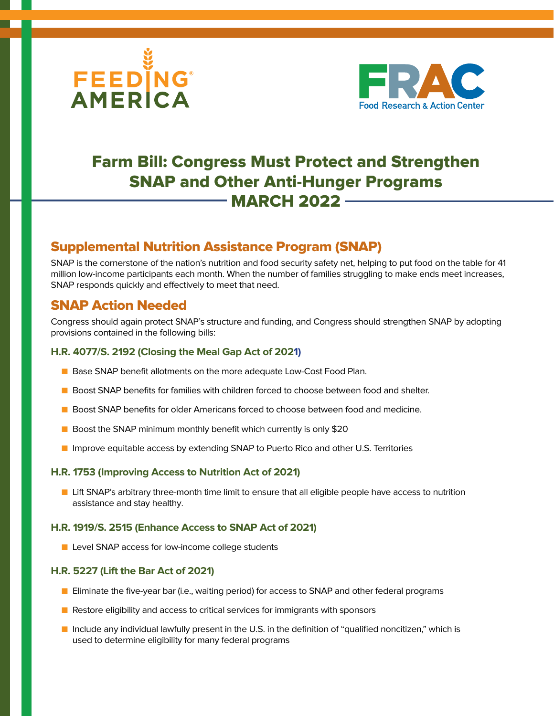



# Farm Bill: Congress Must Protect and Strengthen SNAP and Other Anti-Hunger Programs **MARCH 2022 -**

# Supplemental Nutrition Assistance Program (SNAP)

SNAP is the cornerstone of the nation's nutrition and food security safety net, helping to put food on the table for 41 million low-income participants each month. When the number of families struggling to make ends meet increases, SNAP responds quickly and effectively to meet that need.

### SNAP Action Needed

Congress should again protect SNAP's structure and funding, and Congress should strengthen SNAP by adopting provisions contained in the following bills:

### **H.R. 4077/S. 2192 (Closing the Meal Gap Act of 2021)**

- **n** Base SNAP benefit allotments on the more adequate Low-Cost Food Plan.
- **n** Boost SNAP benefits for families with children forced to choose between food and shelter.
- **n** Boost SNAP benefits for older Americans forced to choose between food and medicine.
- $\blacksquare$  Boost the SNAP minimum monthly benefit which currently is only \$20
- **n** Improve equitable access by extending SNAP to Puerto Rico and other U.S. Territories

### **H.R. 1753 (Improving Access to Nutrition Act of 2021)**

**n** Lift SNAP's arbitrary three-month time limit to ensure that all eligible people have access to nutrition assistance and stay healthy.

#### **H.R. 1919/S. 2515 (Enhance Access to SNAP Act of 2021)**

■ Level SNAP access for low-income college students

#### **H.R. 5227 (Lift the Bar Act of 2021)**

- **n** Eliminate the five-year bar (i.e., waiting period) for access to SNAP and other federal programs
- $\blacksquare$  Restore eligibility and access to critical services for immigrants with sponsors
- **n** Include any individual lawfully present in the U.S. in the definition of "qualified noncitizen," which is used to determine eligibility for many federal programs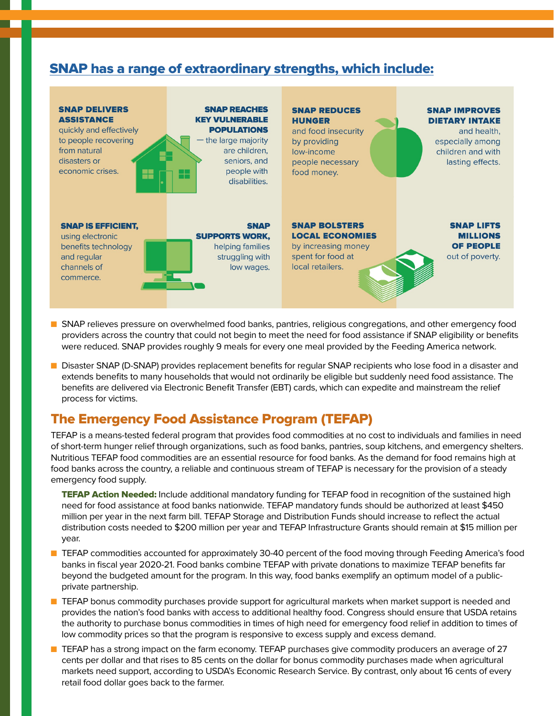### [SNAP has a range of extraordinary strengths, which include:](https://frac.org/wp-content/uploads/FRAC-Facts-SNAP-Strengths_FNL.pdf)



- **n** SNAP relieves pressure on overwhelmed food banks, pantries, religious congregations, and other emergency food providers across the country that could not begin to meet the need for food assistance if SNAP eligibility or benefits were reduced. SNAP provides roughly 9 meals for every one meal provided by the Feeding America network.
- **n** Disaster SNAP (D-SNAP) provides replacement benefits for regular SNAP recipients who lose food in a disaster and extends benefits to many households that would not ordinarily be eligible but suddenly need food assistance. The benefits are delivered via Electronic Benefit Transfer (EBT) cards, which can expedite and mainstream the relief process for victims.

# The Emergency Food Assistance Program (TEFAP)

TEFAP is a means-tested federal program that provides food commodities at no cost to individuals and families in need of short-term hunger relief through organizations, such as food banks, pantries, soup kitchens, and emergency shelters. Nutritious TEFAP food commodities are an essential resource for food banks. As the demand for food remains high at food banks across the country, a reliable and continuous stream of TEFAP is necessary for the provision of a steady emergency food supply.

TEFAP Action Needed: Include additional mandatory funding for TEFAP food in recognition of the sustained high need for food assistance at food banks nationwide. TEFAP mandatory funds should be authorized at least \$450 million per year in the next farm bill. TEFAP Storage and Distribution Funds should increase to reflect the actual distribution costs needed to \$200 million per year and TEFAP Infrastructure Grants should remain at \$15 million per year.

- **n** TEFAP commodities accounted for approximately 30-40 percent of the food moving through Feeding America's food banks in fiscal year 2020-21. Food banks combine TEFAP with private donations to maximize TEFAP benefits far beyond the budgeted amount for the program. In this way, food banks exemplify an optimum model of a publicprivate partnership.
- **n** TEFAP bonus commodity purchases provide support for agricultural markets when market support is needed and provides the nation's food banks with access to additional healthy food. Congress should ensure that USDA retains the authority to purchase bonus commodities in times of high need for emergency food relief in addition to times of low commodity prices so that the program is responsive to excess supply and excess demand.
- **n** TEFAP has a strong impact on the farm economy. TEFAP purchases give commodity producers an average of 27 cents per dollar and that rises to 85 cents on the dollar for bonus commodity purchases made when agricultural markets need support, according to USDA's Economic Research Service. By contrast, only about 16 cents of every retail food dollar goes back to the farmer.